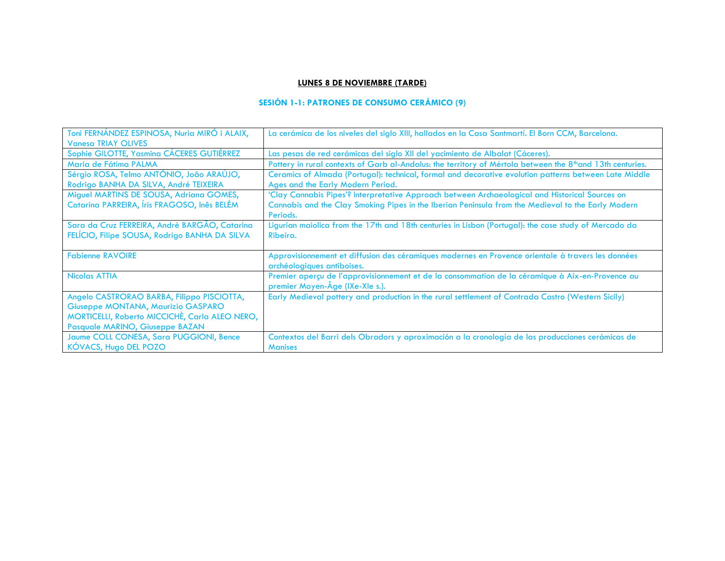### **LUNES 8 DE NOVIEMBRE (TARDE)**

# **SESIÓN 1-1: PATRONES DE CONSUMO CERÁMICO (9)**

| Toni FERNÁNDEZ ESPINOSA, Nuria MIRÓ i ALAIX,   | La cerámica de los niveles del siglo XIII, hallados en la Casa Santmartí. El Born CCM, Barcelona.          |
|------------------------------------------------|------------------------------------------------------------------------------------------------------------|
| <b>Vanesa TRIAY OLIVES</b>                     |                                                                                                            |
| Sophie GILOTTE, Yasmina CÁCERES GUTIÉRREZ      | Las pesas de red cerámicas del siglo XII del yacimiento de Albalat (Cáceres).                              |
| Maria de Fátima PALMA                          | Pottery in rural contexts of Garb al-Andalus: the territory of Mértola between the 8th and 13th centuries. |
| Sérgio ROSA, Telmo ANTÓNIO, João ARAÚJO,       | Ceramics of Almada (Portugal): technical, formal and decorative evolution patterns between Late Middle     |
| Rodrigo BANHA DA SILVA, André TEIXEIRA         | Ages and the Early Modern Period.                                                                          |
| Miguel MARTINS DE SOUSA, Adriana GOMES,        | 'Clay Cannabis Pipes'? Interpretative Approach between Archaeological and Historical Sources on            |
| Catarina PARREIRA, Íris FRAGOSO, Inês BELÉM    | Cannabis and the Clay Smoking Pipes in the Iberian Peninsula from the Medieval to the Early Modern         |
|                                                | Periods.                                                                                                   |
| Sara da Cruz FERREIRA, André BARGÃO, Catarina  | Ligurian maiolica from the 17th and 18th centuries in Lisbon (Portugal): the case study of Mercado da      |
| FELÍCIO, Filipe SOUSA, Rodrigo BANHA DA SILVA  | Ribeira.                                                                                                   |
|                                                |                                                                                                            |
| <b>Fabienne RAVOIRE</b>                        | Approvisionnement et diffusion des céramiques modernes en Provence orientale à travers les données         |
|                                                | archéologiques antiboises.                                                                                 |
| <b>Nicolas ATTIA</b>                           | Premier aperçu de l'approvisionnement et de la consommation de la céramique à Aix-en-Provence au           |
|                                                | premier Moyen-Âge (IXe-XIe s.).                                                                            |
| Angelo CASTRORAO BARBA, Filippo PISCIOTTA,     | Early Medieval pottery and production in the rural settlement of Contrada Castro (Western Sicily)          |
| Giuseppe MONTANA, Maurizio GASPARO             |                                                                                                            |
| MORTICELLI, Roberto MICCICHÈ, Carla ALEO NERO, |                                                                                                            |
| Pasquale MARINO, Giuseppe BAZAN                |                                                                                                            |
| Jaume COLL CONESA, Sara PUGGIONI, Bence        | Contextos del Barri dels Obradors y aproximación a la cronología de las producciones cerámicas de          |
| KÓVACS, Hugo DEL POZO                          | <b>Manises</b>                                                                                             |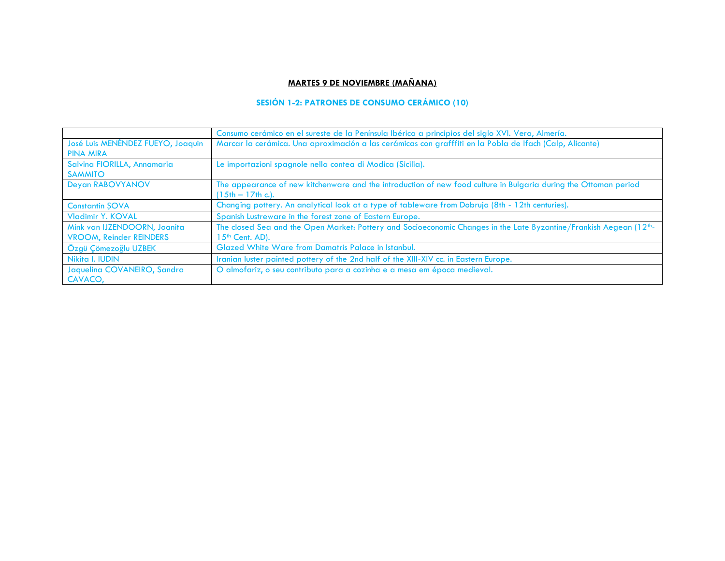## **MARTES 9 DE NOVIEMBRE (MAÑANA)**

## **SESIÓN 1-2: PATRONES DE CONSUMO CERÁMICO (10)**

|                                                                | Consumo cerámico en el sureste de la Península Ibérica a principios del siglo XVI. Vera, Almería.                                                 |
|----------------------------------------------------------------|---------------------------------------------------------------------------------------------------------------------------------------------------|
| José Luis MENÉNDEZ FUEYO, Joaquin<br><b>PINA MIRA</b>          | Marcar la cerámica. Una aproximación a las cerámicas con grafffiti en la Pobla de Ifach (Calp, Alicante)                                          |
| Salvina FIORILLA, Annamaria<br><b>SAMMITO</b>                  | Le importazioni spagnole nella contea di Modica (Sicilia).                                                                                        |
| Deyan RABOVYANOV                                               | The appearance of new kitchenware and the introduction of new food culture in Bulgaria during the Ottoman period<br>$(15th - 17th c.).$           |
| <b>Constantin SOVA</b>                                         | Changing pottery. An analytical look at a type of tableware from Dobruja (8th - 12th centuries).                                                  |
| <b>Vladimir Y. KOVAL</b>                                       | Spanish Lustreware in the forest zone of Eastern Europe.                                                                                          |
| Mink van IJZENDOORN, Joanita<br><b>VROOM, Reinder REINDERS</b> | The closed Sea and the Open Market: Pottery and Socioeconomic Changes in the Late Byzantine/Frankish Aegean (12th-<br>15 <sup>th</sup> Cent. AD). |
| Özgü Çömezoğlu UZBEK                                           | Glazed White Ware from Damatris Palace in Istanbul.                                                                                               |
| Nikita I. IUDIN                                                | Iranian luster painted pottery of the 2nd half of the XIII-XIV cc. in Eastern Europe.                                                             |
| Jaquelina COVANEIRO, Sandra<br>CAVACO,                         | O almofariz, o seu contributo para a cozinha e a mesa em época medieval.                                                                          |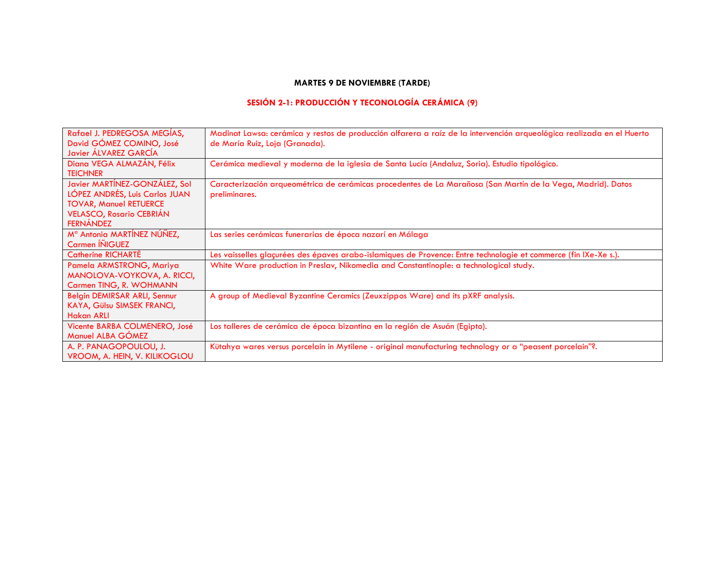## **MARTES 9 DE NOVIEMBRE (TARDE)**

# **SESIÓN 2-1: PRODUCCIÓN Y TECONOLOGÍA CERÁMICA (9)**

| Rafael J. PEDREGOSA MEGÍAS,<br>David GÓMEZ COMINO, José<br>Javier ÁLVAREZ GARCÍA                                                                        | Madinat Lawsa: cerámica y restos de producción alfarera a raíz de la intervención arqueológica realizada en el Huerto<br>de María Ruiz, Loja (Granada). |
|---------------------------------------------------------------------------------------------------------------------------------------------------------|---------------------------------------------------------------------------------------------------------------------------------------------------------|
| Diana VEGA ALMAZÁN, Félix<br><b>TEICHNER</b>                                                                                                            | Cerámica medieval y moderna de la iglesia de Santa Lucía (Andaluz, Soria). Estudio tipológico.                                                          |
| Javier MARTÍNEZ-GONZÁLEZ, Sol<br>LÓPEZ ANDRÉS, Luis Carlos JUAN<br><b>TOVAR, Manuel RETUERCE</b><br><b>VELASCO, Rosario CEBRIÁN</b><br><b>FERNÁNDEZ</b> | Caracterización arqueométrica de cerámicas procedentes de La Marañosa (San Martín de la Vega, Madrid). Datos<br>preliminares.                           |
| M <sup>a</sup> Antonia MARTÍNEZ NÚÑEZ,<br>Carmen INIGUEZ                                                                                                | Las series cerámicas funerarias de época nazarí en Málaga                                                                                               |
| <b>Catherine RICHARTÉ</b>                                                                                                                               | Les vaisselles glaçurées des épaves arabo-islamiques de Provence: Entre technologie et commerce (fin IXe-Xe s.).                                        |
| Pamela ARMSTRONG, Mariya<br>MANOLOVA-VOYKOVA, A. RICCI,<br>Carmen TING, R. WOHMANN                                                                      | White Ware production in Preslav, Nikomedia and Constantinople: a technological study.                                                                  |
| Belgin DEMIRSAR ARLI, Sennur<br>KAYA, Gülsu SIMSEK FRANCI,<br><b>Hakan ARLI</b>                                                                         | A group of Medieval Byzantine Ceramics (Zeuxzippos Ware) and its pXRF analysis.                                                                         |
| Vicente BARBA COLMENERO, José<br>Manuel ALBA GÓMEZ                                                                                                      | Los talleres de cerámica de época bizantina en la región de Asuán (Egipto).                                                                             |
| A. P. PANAGOPOULOU, J.<br>VROOM, A. HEIN, V. KILIKOGLOU                                                                                                 | Kütahya wares versus porcelain in Mytilene - original manufacturing technology or a "peasent porcelain"?.                                               |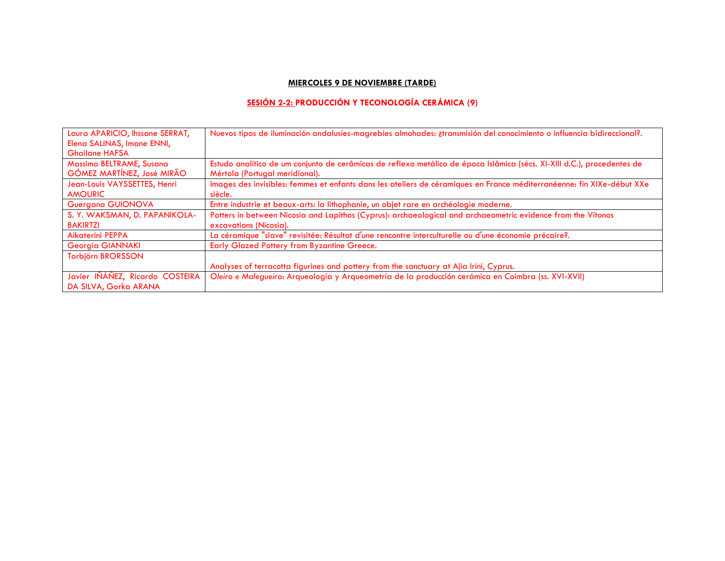## **MIERCOLES 9 DE NOVIEMBRE (TARDE)**

# **SESIÓN 2-2: PRODUCCIÓN Y TECONOLOGÍA CERÁMICA (9)**

| Laura APARICIO, Ihssane SERRAT, | Nuevos tipos de iluminación andalusíes-magrebíes almohades: atransmisión del conocimiento o influencia bidireccional?.  |
|---------------------------------|-------------------------------------------------------------------------------------------------------------------------|
| Elena SALINAS, Imane ENNI,      |                                                                                                                         |
| <b>Ghailane HAFSA</b>           |                                                                                                                         |
| Massimo BELTRAME, Susana        | Estudo analítico de um conjunto de cerâmicas de reflexo metálico de época Islâmica (sécs. XI-XIII d.C.), procedentes de |
| GÓMEZ MARTÍNEZ, José MIRÃO      | Mértola (Portugal meridional).                                                                                          |
| Jean-Louis VAYSSETTES, Henri    | Images des invisibles: femmes et enfants dans les ateliers de céramiques en France méditerranéenne: fin XIXe-début XXe  |
| <b>AMOURIC</b>                  | siècle.                                                                                                                 |
| Guergana GUIONOVA               | Entre industrie et beaux-arts: la lithophanie, un objet rare en archéologie moderne.                                    |
| S. Y. WAKSMAN, D. PAPANIKOLA-   | Potters in between Nicosia and Lapithos (Cyprus): archaeological and archaeometric evidence from the Vitonos            |
| <b>BAKIRTZI</b>                 | excavations (Nicosia).                                                                                                  |
| <b>Aikaterini PEPPA</b>         | La céramique "slave" revisitée: Résultat d'une rencontre interculturelle ou d'une économie précaire?.                   |
| <b>Georgia GIANNAKI</b>         | Early Glazed Pottery from Byzantine Greece.                                                                             |
| <b>Torbjörn BRORSSON</b>        |                                                                                                                         |
|                                 | Analyses of terracotta figurines and pottery from the sanctuary at Ajia Irini, Cyprus.                                  |
| Javier IÑÁÑEZ, Ricardo COSTEIRA | Oleiro e Malegueiro: Arqueología y Arqueometría de la producción cerámica en Coimbra (ss. XVI-XVII)                     |
| DA SILVA, Gorka ARANA           |                                                                                                                         |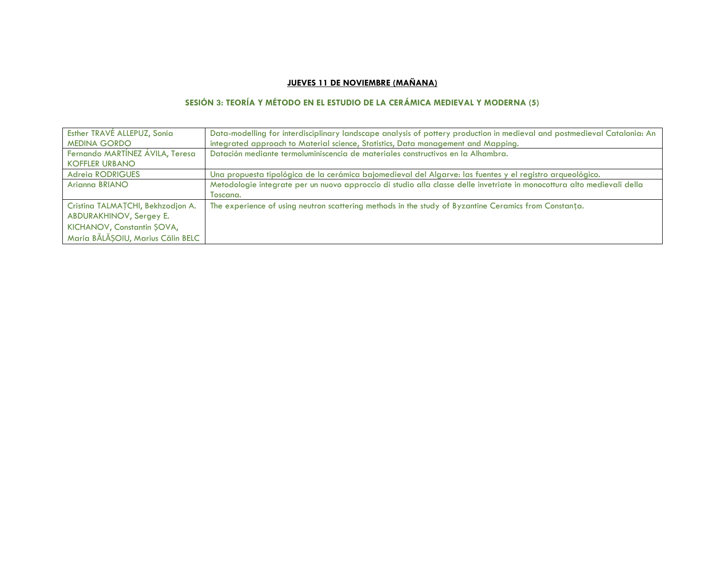## **JUEVES 11 DE NOVIEMBRE (MAÑANA)**

## **SESIÓN 3: TEORÍA Y MÉTODO EN EL ESTUDIO DE LA CERÁMICA MEDIEVAL Y MODERNA (5)**

| Esther TRAVÉ ALLEPUZ, Sonia       | Data-modelling for interdisciplinary landscape analysis of pottery production in medieval and postmedieval Catalonia: An |
|-----------------------------------|--------------------------------------------------------------------------------------------------------------------------|
| <b>MEDINA GORDO</b>               | integrated approach to Material science, Statistics, Data management and Mapping.                                        |
| Fernando MARTÍNEZ ÁVILA, Teresa   | Datación mediante termoluminiscencia de materiales constructivos en la Alhambra.                                         |
| <b>KOFFLER URBANO</b>             |                                                                                                                          |
| <b>Adreia RODRIGUES</b>           | Una propuesta tipológica de la cerámica bajomedieval del Algarve: las fuentes y el registro arqueológico.                |
| Arianna BRIANO                    | Metodologie integrate per un nuovo approccio di studio alla classe delle invetriate in monocottura alto medievali della  |
|                                   | Toscana.                                                                                                                 |
| Cristina TALMAȚCHI, Bekhzodjon A. | The experience of using neutron scattering methods in the study of Byzantine Ceramics from Constanta.                    |
| ABDURAKHINOV, Sergey E.           |                                                                                                                          |
| KICHANOV, Constantin ŞOVA,        |                                                                                                                          |
| Maria BĂLĂȘOIU, Marius Călin BELC |                                                                                                                          |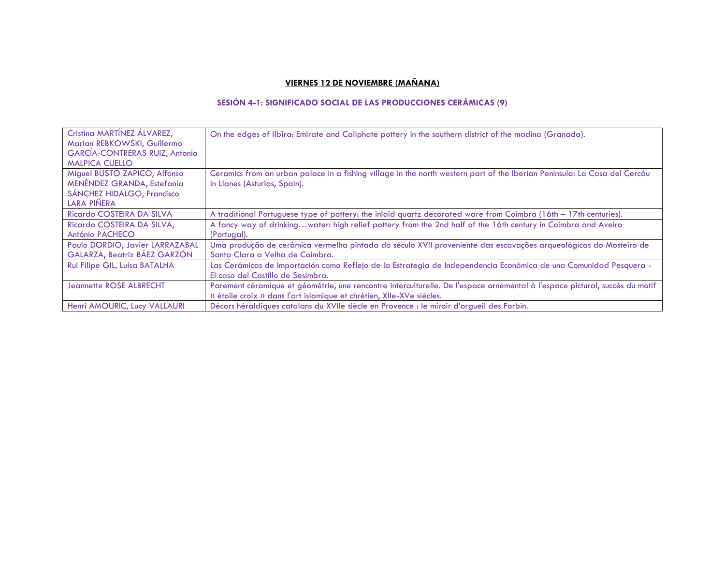## **VIERNES 12 DE NOVIEMBRE (MAÑANA)**

## **SESIÓN 4-1: SIGNIFICADO SOCIAL DE LAS PRODUCCIONES CERÁMICAS (9)**

| Cristina MARTÍNEZ ÁLVAREZ,<br>Marian REBKOWSKI, Guillermo<br><b>GARCÍA-CONTRERAS RUIZ, Antonio</b><br><b>MALPICA CUELLO</b> | On the edges of Ilbīra: Emirate and Caliphate pottery in the southern district of the madina (Granada).                                                                                             |
|-----------------------------------------------------------------------------------------------------------------------------|-----------------------------------------------------------------------------------------------------------------------------------------------------------------------------------------------------|
| Miguel BUSTO ZAPICO, Alfonso<br>MENÉNDEZ GRANDA, Estefanía<br>SÁNCHEZ HIDALGO, Francisco<br>LARA PIÑERA                     | Ceramics from an urban palace in a fishing village in the north western part of the Iberian Peninsula: La Casa del Cercáu<br>in Llanes (Asturias, Spain).                                           |
| Ricardo COSTEIRA DA SILVA                                                                                                   | A traditional Portuguese type of pottery: the inlaid quartz decorated ware from Coimbra $(16th - 17th$ centuries).                                                                                  |
| Ricardo COSTEIRA DA SILVA,<br>António PACHECO                                                                               | A fancy way of drinkingwater: high relief pottery from the 2nd half of the 16th century in Coimbra and Aveiro<br>(Portugal).                                                                        |
| Paulo DORDIO, Javier LARRAZABAL<br>GALARZA, Beatriz BÁEZ GARZÓN                                                             | Uma produção de cerâmica vermelha pintada do século XVII proveniente das escavações arqueológicas do Mosteiro de<br>Santa Clara a Velha de Coimbra.                                                 |
| Rui Filipe GIL, Luísa BATALHA                                                                                               | Las Cerámicas de Importación como Reflejo de la Estrategia de Independencia Económica de una Comunidad Pesquera -<br>El caso del Castillo de Sesimbra.                                              |
| Jeannette ROSE ALBRECHT                                                                                                     | Parement céramique et géométrie, une rencontre interculturelle. De l'espace ornemental à l'espace pictural, succès du motif<br>« étoile croix » dans l'art islamique et chrétien, XIIe-XVe siècles. |
| Henri AMOURIC, Lucy VALLAURI                                                                                                | Décors héraldiques catalans du XVIIe siècle en Provence : le miroir d'orqueil des Forbin.                                                                                                           |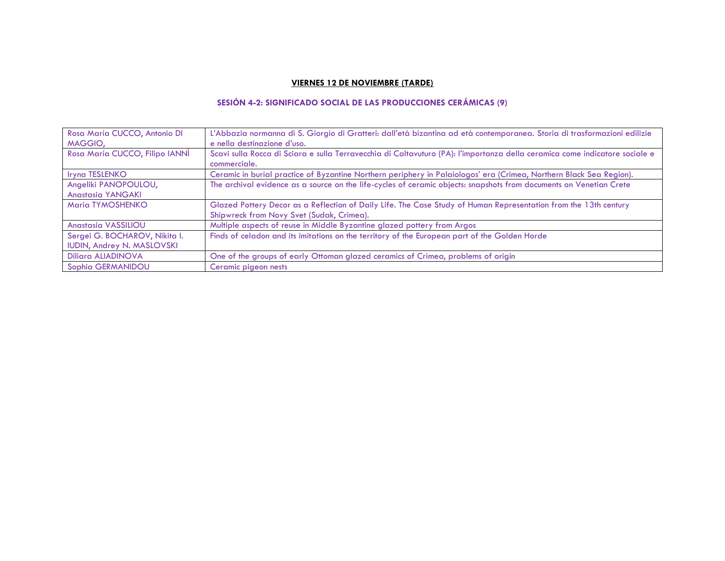#### **VIERNES 12 DE NOVIEMBRE (TARDE)**

### **SESIÓN 4-2: SIGNIFICADO SOCIAL DE LAS PRODUCCIONES CERÁMICAS (9)**

| Rosa María CUCCO, Antonio DI      | L'Abbazia normanna di S. Giorgio di Gratteri: dall'età bizantina ad età contemporanea. Storia di trasformazioni edilizie                    |
|-----------------------------------|---------------------------------------------------------------------------------------------------------------------------------------------|
| MAGGIO,                           | e nella destinazione d'uso.                                                                                                                 |
| Rosa María CUCCO, Filipo IANNI    | Scavi sulla Rocca di Sciara e sulla Terravecchia di Caltavuturo (PA): l'importanza della ceramica come indicatore sociale e<br>commerciale. |
| Iryna TESLENKO                    | Ceramic in burial practice of Byzantine Northern periphery in Palaiologos' era (Crimea, Northern Black Sea Region).                         |
| Angeliki PANOPOULOU,              | The archival evidence as a source on the life-cycles of ceramic objects: snapshots from documents on Venetian Crete                         |
| <b>Anastasia YANGAKI</b>          |                                                                                                                                             |
| Maria TYMOSHENKO                  | Glazed Pottery Decor as a Reflection of Daily Life. The Case Study of Human Representation from the 13th century                            |
|                                   | Shipwreck from Novy Svet (Sudak, Crimea).                                                                                                   |
| <b>Anastasia VASSILIOU</b>        | Multiple aspects of reuse in Middle Byzantine glazed pottery from Argos                                                                     |
| Sergei G. BOCHAROV, Nikita I.     | Finds of celadon and its imitations on the territory of the European part of the Golden Horde                                               |
| <b>IUDIN, Andrey N. MASLOVSKI</b> |                                                                                                                                             |
| <b>Diliara ALIADINOVA</b>         | One of the groups of early Ottoman glazed ceramics of Crimea, problems of origin                                                            |
| Sophia GERMANIDOU                 | Ceramic pigeon nests                                                                                                                        |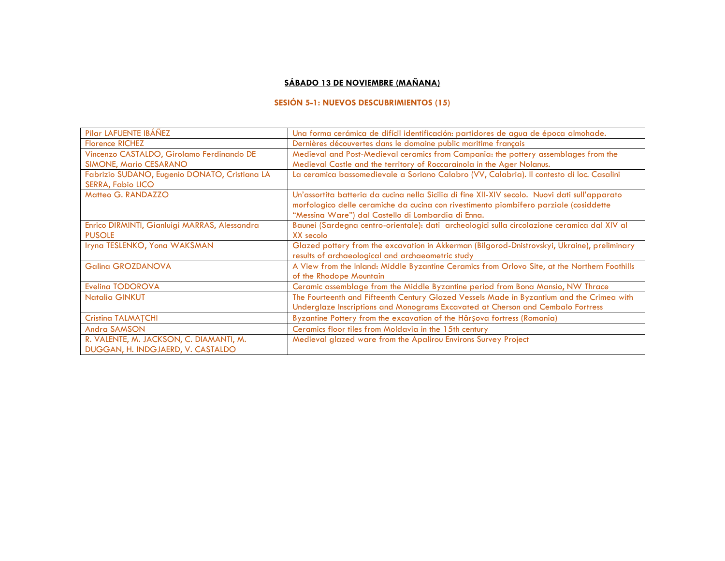### **SÁBADO 13 DE NOVIEMBRE (MAÑANA)**

### **SESIÓN 5-1: NUEVOS DESCUBRIMIENTOS (15)**

| Pilar LAFUENTE IBÁÑEZ                                                        | Una forma cerámica de difícil identificación: partidores de agua de época almohade.                                                                                                                                                            |
|------------------------------------------------------------------------------|------------------------------------------------------------------------------------------------------------------------------------------------------------------------------------------------------------------------------------------------|
| <b>Florence RICHEZ</b>                                                       | Dernières découvertes dans le domaine public maritime français                                                                                                                                                                                 |
| Vincenzo CASTALDO, Girolamo Ferdinando DE                                    | Medieval and Post-Medieval ceramics from Campania: the pottery assemblages from the                                                                                                                                                            |
| <b>SIMONE, Mario CESARANO</b>                                                | Medieval Castle and the territory of Roccarainola in the Ager Nolanus.                                                                                                                                                                         |
| Fabrizio SUDANO, Eugenio DONATO, Cristiana LA<br><b>SERRA, Fabio LICO</b>    | La ceramica bassomedievale a Soriano Calabro (VV, Calabria). Il contesto di loc. Casalini                                                                                                                                                      |
| Matteo G. RANDAZZO                                                           | Un'assortita batteria da cucina nella Sicilia di fine XII-XIV secolo. Nuovi dati sull'apparato<br>morfologico delle ceramiche da cucina con rivestimento piombifero parziale (cosiddette<br>"Messina Ware") dal Castello di Lombardia di Enna. |
| Enrico DIRMINTI, Gianluigi MARRAS, Alessandra<br><b>PUSOLE</b>               | Baunei (Sardegna centro-orientale): dati archeologici sulla circolazione ceramica dal XIV al<br>XX secolo                                                                                                                                      |
| Iryna TESLENKO, Yona WAKSMAN                                                 | Glazed pottery from the excavation in Akkerman (Bilgorod-Dnistrovskyi, Ukraine), preliminary<br>results of archaeological and archaeometric study                                                                                              |
| <b>Galina GROZDANOVA</b>                                                     | A View from the Inland: Middle Byzantine Ceramics from Orlovo Site, at the Northern Foothills<br>of the Rhodope Mountain                                                                                                                       |
| Eveling TODOROVA                                                             | Ceramic assemblage from the Middle Byzantine period from Bona Mansio, NW Thrace                                                                                                                                                                |
| <b>Natalia GINKUT</b>                                                        | The Fourteenth and Fifteenth Century Glazed Vessels Made in Byzantium and the Crimea with<br>Underglaze Inscriptions and Monograms Excavated at Cherson and Cembalo Fortress                                                                   |
| <b>Cristing TALMATCHI</b>                                                    | Byzantine Pottery from the excavation of the Hârșova fortress (Romania)                                                                                                                                                                        |
| Andra SAMSON                                                                 | Ceramics floor tiles from Moldavia in the 15th century                                                                                                                                                                                         |
| R. VALENTE, M. JACKSON, C. DIAMANTI, M.<br>DUGGAN, H. INDGJAERD, V. CASTALDO | Medieval glazed ware from the Apalirou Environs Survey Project                                                                                                                                                                                 |